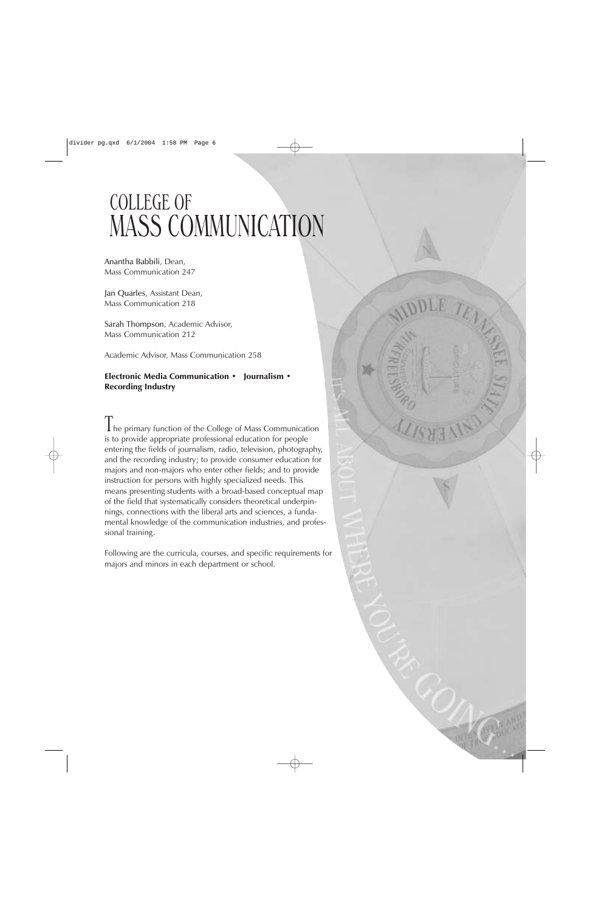# COLLEGE OF MASS COMMUNICATION

Anantha Babbili, Dean, Mass Communication 247

Jan Quarles, Assistant Dean, Mass Communication 218

Sarah Thompson, Academic Advisor, Mass Communication 212

Academic Advisor, Mass Communication 258

# Electronic Media Communication · Journalism · Recording Industry

The primary function of the College of Mass Communication is to provide appropriate professional education for people entering the fields of journalism, radio, television, photography, and the recording industry; to provide consumer education for majors and non-majors who enter other fields; and to provide instruction for persons with highly specialized needs. This means presenting students with a broad-based conceptual map of the field that systematically considers theoretical underpinnings, connections with the liberal arts and sciences, a fundamental knowledge of the communication industries, and professional training.

Following are the curricula, courses, and specific requirements for majors and minors in each department or school.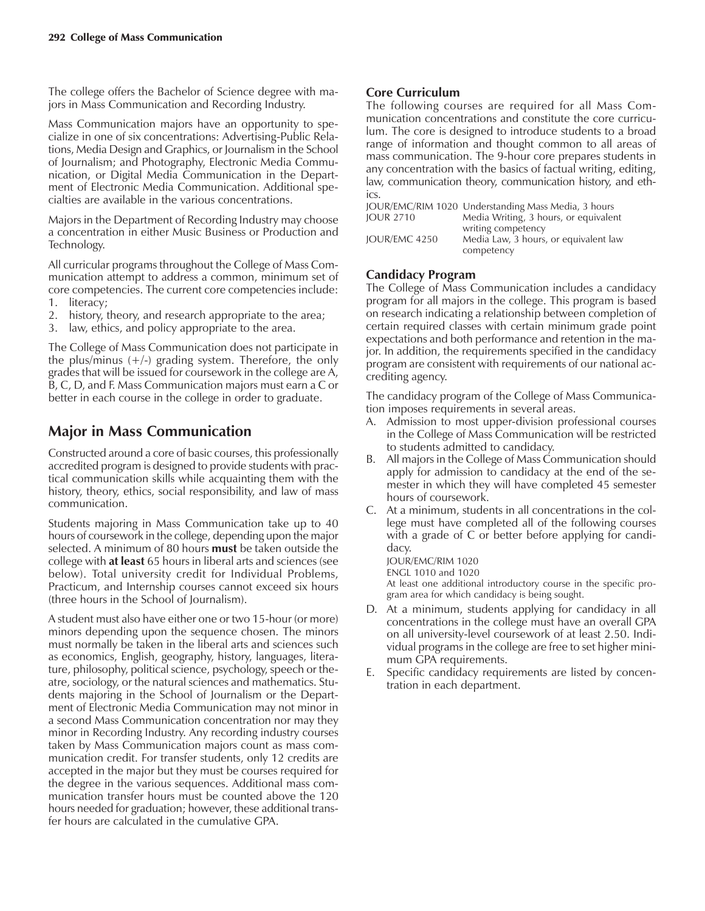The college offers the Bachelor of Science degree with majors in Mass Communication and Recording Industry.

Mass Communication majors have an opportunity to specialize in one of six concentrations: Advertising-Public Relations, Media Design and Graphics, or Journalism in the School of Journalism; and Photography, Electronic Media Communication, or Digital Media Communication in the Department of Electronic Media Communication. Additional specialties are available in the various concentrations.

Majors in the Department of Recording Industry may choose a concentration in either Music Business or Production and Technology.

All curricular programs throughout the College of Mass Communication attempt to address a common, minimum set of core competencies. The current core competencies include: 1. literacy;

- 2. history, theory, and research appropriate to the area;
- 3. law, ethics, and policy appropriate to the area.

The College of Mass Communication does not participate in the plus/minus  $(+/-)$  grading system. Therefore, the only grades that will be issued for coursework in the college are A, B, C, D, and F. Mass Communication majors must earn a C or better in each course in the college in order to graduate.

# **Major in Mass Communication**

Constructed around a core of basic courses, this professionally accredited program is designed to provide students with practical communication skills while acquainting them with the history, theory, ethics, social responsibility, and law of mass communication.

Students majoring in Mass Communication take up to 40 hours of coursework in the college, depending upon the major selected. A minimum of 80 hours **must** be taken outside the college with **at least** 65 hours in liberal arts and sciences (see below). Total university credit for Individual Problems, Practicum, and Internship courses cannot exceed six hours (three hours in the School of Journalism).

A student must also have either one or two 15-hour (or more) minors depending upon the sequence chosen. The minors must normally be taken in the liberal arts and sciences such as economics, English, geography, history, languages, literature, philosophy, political science, psychology, speech or theatre, sociology, or the natural sciences and mathematics. Students majoring in the School of Journalism or the Department of Electronic Media Communication may not minor in a second Mass Communication concentration nor may they minor in Recording Industry. Any recording industry courses taken by Mass Communication majors count as mass communication credit. For transfer students, only 12 credits are accepted in the major but they must be courses required for the degree in the various sequences. Additional mass communication transfer hours must be counted above the 120 hours needed for graduation; however, these additional transfer hours are calculated in the cumulative GPA.

## **Core Curriculum**

The following courses are required for all Mass Communication concentrations and constitute the core curriculum. The core is designed to introduce students to a broad range of information and thought common to all areas of mass communication. The 9-hour core prepares students in any concentration with the basics of factual writing, editing, law, communication theory, communication history, and ethics.

|                  | JOUR/EMC/RIM 1020 Understanding Mass Media, 3 hours |
|------------------|-----------------------------------------------------|
| <b>IOUR 2710</b> | Media Writing, 3 hours, or equivalent               |
|                  | writing competency                                  |
| IOUR/EMC 4250    | Media Law, 3 hours, or equivalent law               |
|                  | competency                                          |

## **Candidacy Program**

The College of Mass Communication includes a candidacy program for all majors in the college. This program is based on research indicating a relationship between completion of certain required classes with certain minimum grade point expectations and both performance and retention in the major. In addition, the requirements specified in the candidacy program are consistent with requirements of our national accrediting agency.

The candidacy program of the College of Mass Communication imposes requirements in several areas.

- A. Admission to most upper-division professional courses in the College of Mass Communication will be restricted to students admitted to candidacy.
- B. All majors in the College of Mass Communication should apply for admission to candidacy at the end of the semester in which they will have completed 45 semester hours of coursework.
- C. At a minimum, students in all concentrations in the college must have completed all of the following courses with a grade of C or better before applying for candidacy.

JOUR/EMC/RIM 1020

ENGL 1010 and 1020

At least one additional introductory course in the specific program area for which candidacy is being sought.

- D. At a minimum, students applying for candidacy in all concentrations in the college must have an overall GPA on all university-level coursework of at least 2.50. Individual programs in the college are free to set higher minimum GPA requirements.
- E. Specific candidacy requirements are listed by concentration in each department.